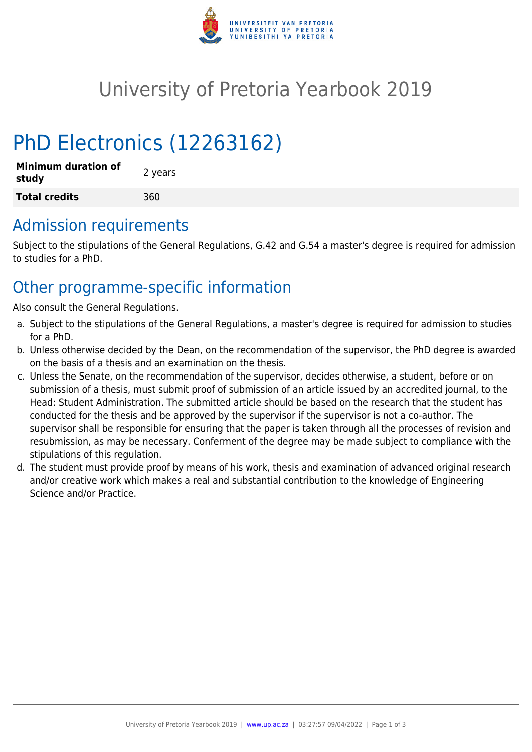

# University of Pretoria Yearbook 2019

# PhD Electronics (12263162)

| <b>Minimum duration of</b><br>study | 2 years |  |
|-------------------------------------|---------|--|
| <b>Total credits</b>                | 360     |  |

## Admission requirements

Subject to the stipulations of the General Regulations, G.42 and G.54 a master's degree is required for admission to studies for a PhD.

## Other programme-specific information

Also consult the General Regulations.

- a. Subject to the stipulations of the General Regulations, a master's degree is required for admission to studies for a PhD.
- b. Unless otherwise decided by the Dean, on the recommendation of the supervisor, the PhD degree is awarded on the basis of a thesis and an examination on the thesis.
- c. Unless the Senate, on the recommendation of the supervisor, decides otherwise, a student, before or on submission of a thesis, must submit proof of submission of an article issued by an accredited journal, to the Head: Student Administration. The submitted article should be based on the research that the student has conducted for the thesis and be approved by the supervisor if the supervisor is not a co-author. The supervisor shall be responsible for ensuring that the paper is taken through all the processes of revision and resubmission, as may be necessary. Conferment of the degree may be made subject to compliance with the stipulations of this regulation.
- d. The student must provide proof by means of his work, thesis and examination of advanced original research and/or creative work which makes a real and substantial contribution to the knowledge of Engineering Science and/or Practice.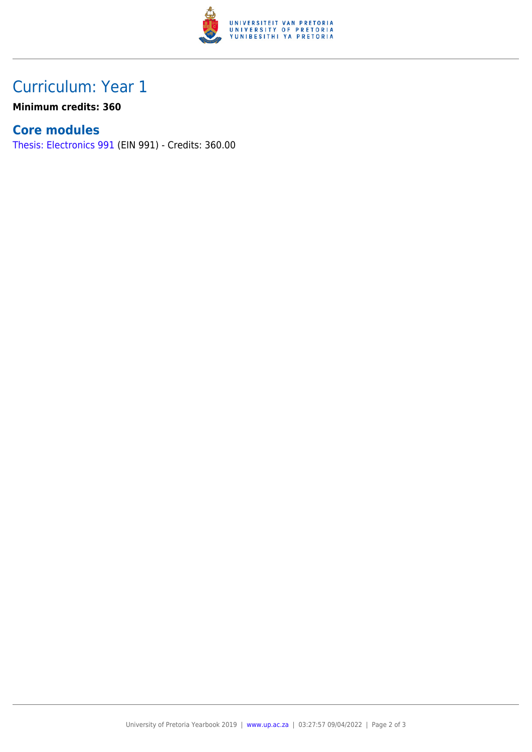

# Curriculum: Year 1

**Minimum credits: 360**

### **Core modules**

[Thesis: Electronics 991](https://www.up.ac.za/faculty-of-education/yearbooks/2019/modules/view/EIN 991) (EIN 991) - Credits: 360.00